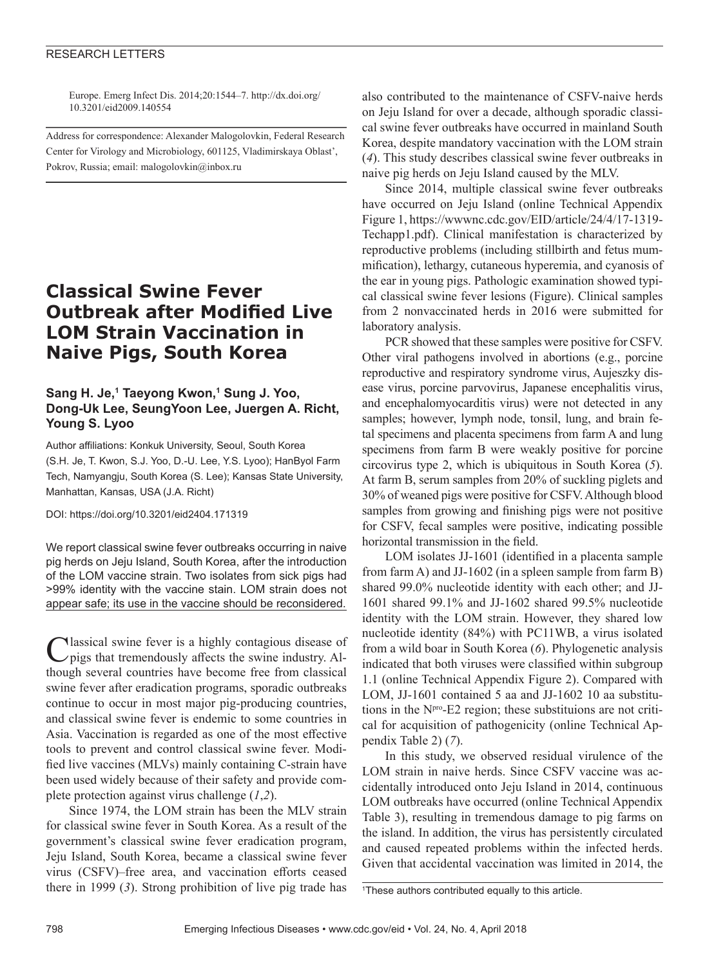### RESEARCH LETTERS

Europe. Emerg Infect Dis. 2014;20:1544–7. http://dx.doi.org/ 10.3201/eid2009.140554

Address for correspondence: Alexander Malogolovkin, Federal Research Center for Virology and Microbiology, 601125, Vladimirskaya Oblast', Pokrov, Russia; email: malogolovkin@inbox.ru

# **Classical Swine Fever Outbreak after Modified Live LOM Strain Vaccination in Naive Pigs, South Korea**

## **Sang H. Je,1 Taeyong Kwon,1 Sung J. Yoo, Dong-Uk Lee, SeungYoon Lee, Juergen A. Richt, Young S. Lyoo**

Author affiliations: Konkuk University, Seoul, South Korea (S.H. Je, T. Kwon, S.J. Yoo, D.-U. Lee, Y.S. Lyoo); HanByol Farm Tech, Namyangju, South Korea (S. Lee); Kansas State University, Manhattan, Kansas, USA (J.A. Richt)

DOI: https://doi.org/10.3201/eid2404.171319

We report classical swine fever outbreaks occurring in naive pig herds on Jeju Island, South Korea, after the introduction of the LOM vaccine strain. Two isolates from sick pigs had >99% identity with the vaccine stain. LOM strain does not appear safe; its use in the vaccine should be reconsidered.

Nlassical swine fever is a highly contagious disease of pigs that tremendously affects the swine industry. Although several countries have become free from classical swine fever after eradication programs, sporadic outbreaks continue to occur in most major pig-producing countries, and classical swine fever is endemic to some countries in Asia. Vaccination is regarded as one of the most effective tools to prevent and control classical swine fever. Modified live vaccines (MLVs) mainly containing C-strain have been used widely because of their safety and provide complete protection against virus challenge (*1*,*2*).

Since 1974, the LOM strain has been the MLV strain for classical swine fever in South Korea. As a result of the government's classical swine fever eradication program, Jeju Island, South Korea, became a classical swine fever virus (CSFV)–free area, and vaccination efforts ceased there in 1999 (*3*). Strong prohibition of live pig trade has

also contributed to the maintenance of CSFV-naive herds on Jeju Island for over a decade, although sporadic classical swine fever outbreaks have occurred in mainland South Korea, despite mandatory vaccination with the LOM strain (*4*). This study describes classical swine fever outbreaks in naive pig herds on Jeju Island caused by the MLV.

Since 2014, multiple classical swine fever outbreaks have occurred on Jeju Island (online Technical Appendix Figure 1, https://wwwnc.cdc.gov/EID/article/24/4/17-1319- Techapp1.pdf). Clinical manifestation is characterized by reproductive problems (including stillbirth and fetus mummification), lethargy, cutaneous hyperemia, and cyanosis of the ear in young pigs. Pathologic examination showed typical classical swine fever lesions (Figure). Clinical samples from 2 nonvaccinated herds in 2016 were submitted for laboratory analysis.

PCR showed that these samples were positive for CSFV. Other viral pathogens involved in abortions (e.g., porcine reproductive and respiratory syndrome virus, Aujeszky disease virus, porcine parvovirus, Japanese encephalitis virus, and encephalomyocarditis virus) were not detected in any samples; however, lymph node, tonsil, lung, and brain fetal specimens and placenta specimens from farm A and lung specimens from farm B were weakly positive for porcine circovirus type 2, which is ubiquitous in South Korea (*5*). At farm B, serum samples from 20% of suckling piglets and 30% of weaned pigs were positive for CSFV. Although blood samples from growing and finishing pigs were not positive for CSFV, fecal samples were positive, indicating possible horizontal transmission in the field.

LOM isolates JJ-1601 (identified in a placenta sample from farm A) and JJ-1602 (in a spleen sample from farm B) shared 99.0% nucleotide identity with each other; and JJ-1601 shared 99.1% and JJ-1602 shared 99.5% nucleotide identity with the LOM strain. However, they shared low nucleotide identity (84%) with PC11WB, a virus isolated from a wild boar in South Korea (*6*). Phylogenetic analysis indicated that both viruses were classified within subgroup 1.1 (online Technical Appendix Figure 2). Compared with LOM, JJ-1601 contained 5 aa and JJ-1602 10 aa substitutions in the Npro-E2 region; these substituions are not critical for acquisition of pathogenicity (online Technical Appendix Table 2) (*7*).

In this study, we observed residual virulence of the LOM strain in naive herds. Since CSFV vaccine was accidentally introduced onto Jeju Island in 2014, continuous LOM outbreaks have occurred (online Technical Appendix Table 3), resulting in tremendous damage to pig farms on the island. In addition, the virus has persistently circulated and caused repeated problems within the infected herds. Given that accidental vaccination was limited in 2014, the

1 These authors contributed equally to this article.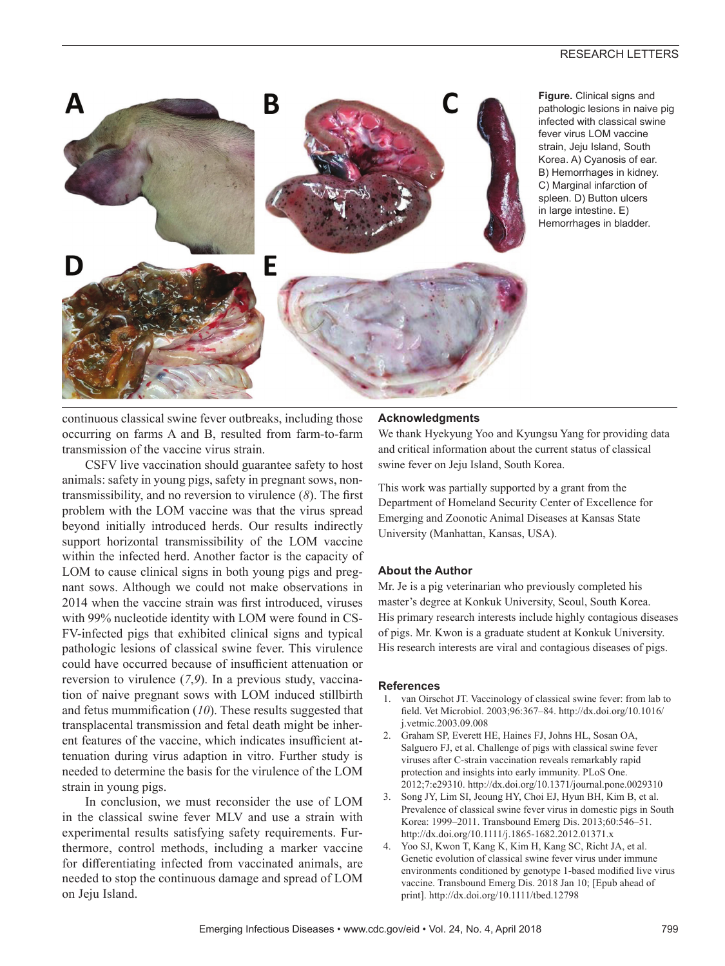

**Figure.** Clinical signs and pathologic lesions in naive pig infected with classical swine fever virus LOM vaccine strain, Jeju Island, South Korea. A) Cyanosis of ear. B) Hemorrhages in kidney. C) Marginal infarction of spleen. D) Button ulcers in large intestine. E) Hemorrhages in bladder.

continuous classical swine fever outbreaks, including those occurring on farms A and B, resulted from farm-to-farm transmission of the vaccine virus strain.

CSFV live vaccination should guarantee safety to host animals: safety in young pigs, safety in pregnant sows, nontransmissibility, and no reversion to virulence (*8*). The first problem with the LOM vaccine was that the virus spread beyond initially introduced herds. Our results indirectly support horizontal transmissibility of the LOM vaccine within the infected herd. Another factor is the capacity of LOM to cause clinical signs in both young pigs and pregnant sows. Although we could not make observations in 2014 when the vaccine strain was first introduced, viruses with 99% nucleotide identity with LOM were found in CS-FV-infected pigs that exhibited clinical signs and typical pathologic lesions of classical swine fever. This virulence could have occurred because of insufficient attenuation or reversion to virulence (*7*,*9*). In a previous study, vaccination of naive pregnant sows with LOM induced stillbirth and fetus mummification (*10*). These results suggested that transplacental transmission and fetal death might be inherent features of the vaccine, which indicates insufficient attenuation during virus adaption in vitro. Further study is needed to determine the basis for the virulence of the LOM strain in young pigs.

In conclusion, we must reconsider the use of LOM in the classical swine fever MLV and use a strain with experimental results satisfying safety requirements. Furthermore, control methods, including a marker vaccine for differentiating infected from vaccinated animals, are needed to stop the continuous damage and spread of LOM on Jeju Island.

## **Acknowledgments**

We thank Hyekyung Yoo and Kyungsu Yang for providing data and critical information about the current status of classical swine fever on Jeju Island, South Korea.

This work was partially supported by a grant from the Department of Homeland Security Center of Excellence for Emerging and Zoonotic Animal Diseases at Kansas State University (Manhattan, Kansas, USA).

#### **About the Author**

Mr. Je is a pig veterinarian who previously completed his master's degree at Konkuk University, Seoul, South Korea. His primary research interests include highly contagious diseases of pigs. Mr. Kwon is a graduate student at Konkuk University. His research interests are viral and contagious diseases of pigs.

#### **References**

- 1. van Oirschot JT. Vaccinology of classical swine fever: from lab to field. Vet Microbiol. 2003;96:367–84. http://dx.doi.org/10.1016/ j.vetmic.2003.09.008
- 2. Graham SP, Everett HE, Haines FJ, Johns HL, Sosan OA, Salguero FJ, et al. Challenge of pigs with classical swine fever viruses after C-strain vaccination reveals remarkably rapid protection and insights into early immunity. PLoS One. 2012;7:e29310. http://dx.doi.org/10.1371/journal.pone.0029310
- 3. Song JY, Lim SI, Jeoung HY, Choi EJ, Hyun BH, Kim B, et al. Prevalence of classical swine fever virus in domestic pigs in South Korea: 1999–2011. Transbound Emerg Dis. 2013;60:546–51. http://dx.doi.org/10.1111/j.1865-1682.2012.01371.x
- 4. Yoo SJ, Kwon T, Kang K, Kim H, Kang SC, Richt JA, et al. Genetic evolution of classical swine fever virus under immune environments conditioned by genotype 1-based modified live virus vaccine. Transbound Emerg Dis. 2018 Jan 10; [Epub ahead of print]. http://dx.doi.org/10.1111/tbed.12798